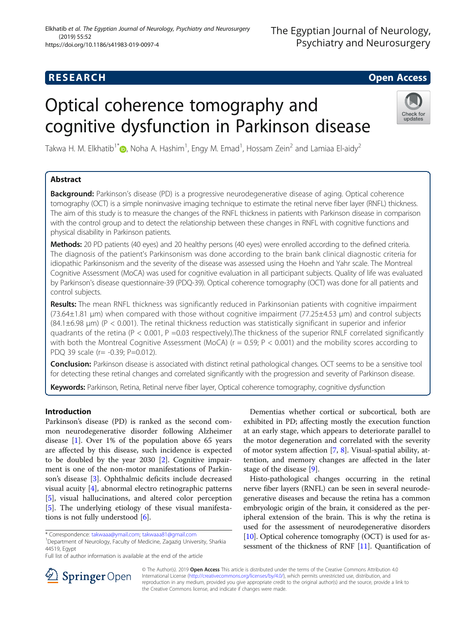## **RESEARCH CHILD CONTROL** CONTROL CONTROL CONTROL CONTROL CONTROL CONTROL CONTROL CONTROL CONTROL CONTROL CONTROL

# Optical coherence tomography and cognitive dysfunction in Parkinson disease



Takwa H. M. Elkhatib<sup>1[\\*](http://orcid.org/0000-0001-7574-4141)</sup>�, Noha A. Hashim<sup>1</sup>, Engy M. Emad<sup>1</sup>, Hossam Zein<sup>2</sup> and Lamiaa El-aidy<sup>2</sup>

## Abstract

Background: Parkinson's disease (PD) is a progressive neurodegenerative disease of aging. Optical coherence tomography (OCT) is a simple noninvasive imaging technique to estimate the retinal nerve fiber layer (RNFL) thickness. The aim of this study is to measure the changes of the RNFL thickness in patients with Parkinson disease in comparison with the control group and to detect the relationship between these changes in RNFL with cognitive functions and physical disability in Parkinson patients.

Methods: 20 PD patients (40 eyes) and 20 healthy persons (40 eyes) were enrolled according to the defined criteria. The diagnosis of the patient's Parkinsonism was done according to the brain bank clinical diagnostic criteria for idiopathic Parkinsonism and the severity of the disease was assessed using the Hoehn and Yahr scale. The Montreal Cognitive Assessment (MoCA) was used for cognitive evaluation in all participant subjects. Quality of life was evaluated by Parkinson's disease questionnaire-39 (PDQ-39). Optical coherence tomography (OCT) was done for all patients and control subjects.

Results: The mean RNFL thickness was significantly reduced in Parkinsonian patients with cognitive impairment (73.64±1.81 μm) when compared with those without cognitive impairment (77.25±4.53 μm) and control subjects (84.1±6.98 μm) (P < 0.001). The retinal thickness reduction was statistically significant in superior and inferior quadrants of the retina ( $P < 0.001$ ,  $P = 0.03$  respectively). The thickness of the superior RNLF correlated significantly with both the Montreal Cognitive Assessment (MoCA) ( $r = 0.59$ ;  $P < 0.001$ ) and the mobility scores according to PDQ 39 scale (r= -0.39; P=0.012).

Conclusion: Parkinson disease is associated with distinct retinal pathological changes. OCT seems to be a sensitive tool for detecting these retinal changes and correlated significantly with the progression and severity of Parkinson disease.

Keywords: Parkinson, Retina, Retinal nerve fiber layer, Optical coherence tomography, cognitive dysfunction

## Introduction

Parkinson's disease (PD) is ranked as the second common neurodegenerative disorder following Alzheimer disease [\[1\]](#page-5-0). Over 1% of the population above 65 years are affected by this disease, such incidence is expected to be doubled by the year 2030 [[2\]](#page-5-0). Cognitive impairment is one of the non-motor manifestations of Parkinson's disease [\[3](#page-5-0)]. Ophthalmic deficits include decreased visual acuity [\[4](#page-5-0)], abnormal electro retinographic patterns [[5\]](#page-5-0), visual hallucinations, and altered color perception [[5\]](#page-5-0). The underlying etiology of these visual manifestations is not fully understood [[6\]](#page-5-0).

Department of Neurology, Faculty of Medicine, Zagazig University, Sharkia 44519, Egypt

Dementias whether cortical or subcortical, both are exhibited in PD; affecting mostly the execution function at an early stage, which appears to deteriorate parallel to the motor degeneration and correlated with the severity of motor system affection [\[7](#page-5-0), [8](#page-5-0)]. Visual-spatial ability, attention, and memory changes are affected in the later stage of the disease [[9\]](#page-5-0).

Histo-pathological changes occurring in the retinal nerve fiber layers (RNFL) can be seen in several neurodegenerative diseases and because the retina has a common embryologic origin of the brain, it considered as the peripheral extension of the brain. This is why the retina is used for the assessment of neurodegenerative disorders [[10](#page-5-0)]. Optical coherence tomography (OCT) is used for assessment of the thickness of RNF [\[11](#page-5-0)]. Quantification of



© The Author(s). 2019 Open Access This article is distributed under the terms of the Creative Commons Attribution 4.0 International License ([http://creativecommons.org/licenses/by/4.0/\)](http://creativecommons.org/licenses/by/4.0/), which permits unrestricted use, distribution, and reproduction in any medium, provided you give appropriate credit to the original author(s) and the source, provide a link to the Creative Commons license, and indicate if changes were made.

<sup>\*</sup> Correspondence: [takwaaa@ymail.com;](mailto:takwaaa@ymail.com) [takwaaa81@gmail.com](mailto:takwaaa81@gmail.com) <sup>1</sup>

Full list of author information is available at the end of the article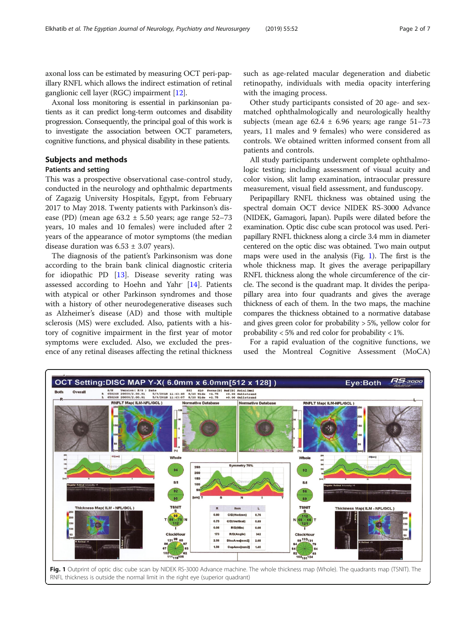axonal loss can be estimated by measuring OCT peri-papillary RNFL which allows the indirect estimation of retinal ganglionic cell layer (RGC) impairment [\[12](#page-5-0)].

Axonal loss monitoring is essential in parkinsonian patients as it can predict long-term outcomes and disability progression. Consequently, the principal goal of this work is to investigate the association between OCT parameters, cognitive functions, and physical disability in these patients.

## Subjects and methods

## Patients and setting

This was a prospective observational case-control study, conducted in the neurology and ophthalmic departments of Zagazig University Hospitals, Egypt, from February 2017 to May 2018. Twenty patients with Parkinson's disease (PD) (mean age  $63.2 \pm 5.50$  years; age range  $52-73$ years, 10 males and 10 females) were included after 2 years of the appearance of motor symptoms (the median disease duration was  $6.53 \pm 3.07$  years).

The diagnosis of the patient's Parkinsonism was done according to the brain bank clinical diagnostic criteria for idiopathic PD [\[13\]](#page-5-0). Disease severity rating was assessed according to Hoehn and Yahr [\[14](#page-5-0)]. Patients with atypical or other Parkinson syndromes and those with a history of other neurodegenerative diseases such as Alzheimer's disease (AD) and those with multiple sclerosis (MS) were excluded. Also, patients with a history of cognitive impairment in the first year of motor symptoms were excluded. Also, we excluded the presence of any retinal diseases affecting the retinal thickness such as age-related macular degeneration and diabetic retinopathy, individuals with media opacity interfering with the imaging process.

Other study participants consisted of 20 age- and sexmatched ophthalmologically and neurologically healthy subjects (mean age  $62.4 \pm 6.96$  years; age range  $51-73$ years, 11 males and 9 females) who were considered as controls. We obtained written informed consent from all patients and controls.

All study participants underwent complete ophthalmologic testing; including assessment of visual acuity and color vision, slit lamp examination, intraocular pressure measurement, visual field assessment, and funduscopy.

Peripapillary RNFL thickness was obtained using the spectral domain OCT device NIDEK RS-3000 Advance (NIDEK, Gamagori, Japan). Pupils were dilated before the examination. Optic disc cube scan protocol was used. Peripapillary RNFL thickness along a circle 3.4 mm in diameter centered on the optic disc was obtained. Two main output maps were used in the analysis (Fig. 1). The first is the whole thickness map. It gives the average peripapillary RNFL thickness along the whole circumference of the circle. The second is the quadrant map. It divides the peripapillary area into four quadrants and gives the average thickness of each of them. In the two maps, the machine compares the thickness obtained to a normative database and gives green color for probability > 5%, yellow color for probability  $< 5\%$  and red color for probability  $< 1\%$ .

For a rapid evaluation of the cognitive functions, we used the Montreal Cognitive Assessment (MoCA)

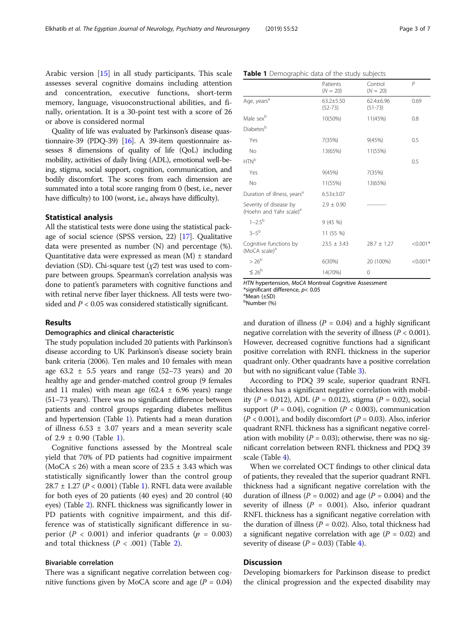Arabic version [\[15\]](#page-5-0) in all study participants. This scale assesses several cognitive domains including attention and concentration, executive functions, short-term memory, language, visuoconstructional abilities, and finally, orientation. It is a 30-point test with a score of 26 or above is considered normal

Quality of life was evaluated by Parkinson's disease quastionnaire-39 (PDQ-39) [\[16\]](#page-5-0). A 39-item questionnaire assesses 8 dimensions of quality of life (QoL) including mobility, activities of daily living (ADL), emotional well-being, stigma, social support, cognition, communication, and bodily discomfort. The scores from each dimension are summated into a total score ranging from 0 (best, i.e., never have difficulty) to 100 (worst, i.e., always have difficulty).

#### Statistical analysis

All the statistical tests were done using the statistical package of social science (SPSS version, 22) [[17](#page-5-0)]. Qualitative data were presented as number (N) and percentage (%). Quantitative data were expressed as mean  $(M)$   $\pm$  standard deviation (SD). Chi-square test  $(\chi 2)$  test was used to compare between groups. Spearman's correlation analysis was done to patient's parameters with cognitive functions and with retinal nerve fiber layer thickness. All tests were twosided and  $P < 0.05$  was considered statistically significant.

#### Results

#### Demographics and clinical characteristic

The study population included 20 patients with Parkinson's disease according to UK Parkinson's disease society brain bank criteria (2006). Ten males and 10 females with mean age  $63.2 \pm 5.5$  years and range  $(52-73 \text{ years})$  and  $20$ healthy age and gender-matched control group (9 females and 11 males) with mean age  $(62.4 \pm 6.96 \text{ years})$  range (51–73 years). There was no significant difference between patients and control groups regarding diabetes mellitus and hypertension (Table 1). Patients had a mean duration of illness  $6.53 \pm 3.07$  years and a mean severity scale of  $2.9 \pm 0.90$  (Table 1).

Cognitive functions assessed by the Montreal scale yield that 70% of PD patients had cognitive impairment (MoCA  $\leq$  26) with a mean score of 23.5  $\pm$  3.43 which was statistically significantly lower than the control group  $28.7 \pm 1.27$  ( $P < 0.001$ ) (Table 1). RNFL data were available for both eyes of 20 patients (40 eyes) and 20 control (40 eyes) (Table [2\)](#page-3-0). RNFL thickness was significantly lower in PD patients with cognitive impairment, and this difference was of statistically significant difference in superior ( $P < 0.001$ ) and inferior quadrants ( $p = 0.003$ ) and total thickness  $(P < .001)$  (Table [2\)](#page-3-0).

#### Bivariable correlation

There was a significant negative correlation between cognitive functions given by MoCA score and age  $(P = 0.04)$ 

| Patients<br>$(N = 20)$       | Control<br>$(N = 20)$    | P          |
|------------------------------|--------------------------|------------|
| $63.2 + 5.50$<br>$(52 - 73)$ | 62.4±6.96<br>$(51 - 73)$ | 0.69       |
| 10(50%)                      | 11(45%)                  | 0.8        |
|                              |                          |            |
| 7(35%)                       | 9(45%)                   | 0.5        |
| 13(65%)                      | 11(55%)                  |            |
|                              |                          | 0.5        |
| 9(45%)                       | 7(35%)                   |            |
| 11(55%)                      | 13(65%)                  |            |
| $6.53 \pm 3.07$              |                          |            |
| $2.9 \pm 0.90$               |                          |            |
| 9(45%)                       |                          |            |
| 11 (55 %)                    |                          |            |
| $23.5 \pm 3.43$              | $28.7 \pm 1.27$          | $< 0.001*$ |
| 6(30%)                       | 20 (100%)                | $< 0.001*$ |
| 14(70%)                      | 0                        |            |
|                              |                          |            |

HTN hypertension, MoCA Montreal Cognitive Assessment

Table 1 Demographic data of the study subjects

\*significant difference,  $p$ < 0.05

Mean (±SD)

b Number (%)

and duration of illness ( $P = 0.04$ ) and a highly significant negative correlation with the severity of illness ( $P < 0.001$ ). However, decreased cognitive functions had a significant positive correlation with RNFL thickness in the superior quadrant only. Other quadrants have a positive correlation but with no significant value (Table [3](#page-3-0)).

According to PDQ 39 scale, superior quadrant RNFL thickness has a significant negative correlation with mobility (P = 0.012), ADL (P = 0.012), stigma (P = 0.02), social support ( $P = 0.04$ ), cognition ( $P < 0.003$ ), communication  $(P < 0.001)$ , and bodily discomfort  $(P = 0.03)$ . Also, inferior quadrant RNFL thickness has a significant negative correlation with mobility ( $P = 0.03$ ); otherwise, there was no significant correlation between RNFL thickness and PDQ 39 scale (Table [4\)](#page-4-0).

When we correlated OCT findings to other clinical data of patients, they revealed that the superior quadrant RNFL thickness had a significant negative correlation with the duration of illness ( $P = 0.002$ ) and age ( $P = 0.004$ ) and the severity of illness ( $P = 0.001$ ). Also, inferior quadrant RNFL thickness has a significant negative correlation with the duration of illness ( $P = 0.02$ ). Also, total thickness had a significant negative correlation with age  $(P = 0.02)$  and severity of disease  $(P = 0.03)$  (Table [4\)](#page-4-0).

### **Discussion**

Developing biomarkers for Parkinson disease to predict the clinical progression and the expected disability may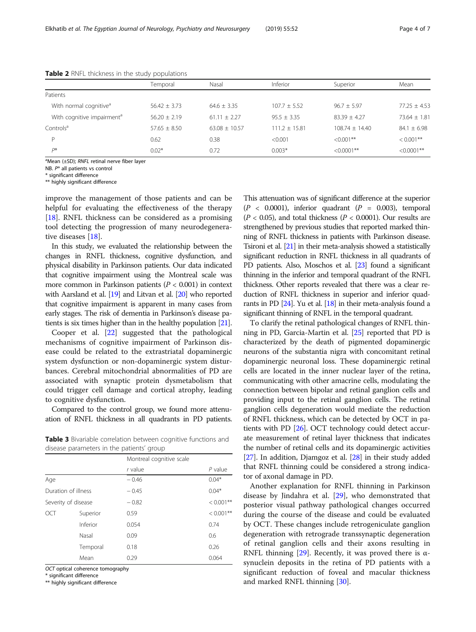|                                        | Temporal         | Nasal             | Inferior        | Superior         | Mean           |
|----------------------------------------|------------------|-------------------|-----------------|------------------|----------------|
| Patients                               |                  |                   |                 |                  |                |
| With normal cognitive <sup>a</sup>     | $56.42 \pm 3.73$ | $64.6 + 3.35$     | $107.7 + 5.52$  | $96.7 + 5.97$    | $77.25 + 4.53$ |
| With cognitive impairment <sup>a</sup> | $56.20 + 2.19$   | $61.11 + 2.27$    | $95.5 + 3.35$   | $83.39 + 4.27$   | $73.64 + 1.81$ |
| Controls <sup>a</sup>                  | $57.65 + 8.50$   | $63.08 \pm 10.57$ | $111.2 + 15.81$ | $108.74 + 14.40$ | $84.1 + 6.98$  |
| D                                      | 0.62             | 0.38              | < 0.001         | $\leq 0.001$ **  | $< 0.001$ **   |
| D®                                     | $0.02*$          | 0.72              | $0.003*$        | $< 0.0001$ **    | $< 0.0001$ **  |
|                                        |                  |                   |                 |                  |                |

<span id="page-3-0"></span>Table 2 RNFL thickness in the study populations

<sup>a</sup>Mean (±SD); RNFL retinal nerve fiber layer

NB. P® all patients vs control

\* significant difference

\*\* highly significant difference

improve the management of those patients and can be helpful for evaluating the effectiveness of the therapy [[18\]](#page-5-0). RNFL thickness can be considered as a promising tool detecting the progression of many neurodegenerative diseases [[18\]](#page-5-0).

In this study, we evaluated the relationship between the changes in RNFL thickness, cognitive dysfunction, and physical disability in Parkinson patients. Our data indicated that cognitive impairment using the Montreal scale was more common in Parkinson patients ( $P < 0.001$ ) in context with Aarsland et al. [[19\]](#page-5-0) and Litvan et al. [[20\]](#page-5-0) who reported that cognitive impairment is apparent in many cases from early stages. The risk of dementia in Parkinson's disease patients is six times higher than in the healthy population [\[21](#page-5-0)].

Cooper et al. [[22\]](#page-6-0) suggested that the pathological mechanisms of cognitive impairment of Parkinson disease could be related to the extrastriatal dopaminergic system dysfunction or non-dopaminergic system disturbances. Cerebral mitochondrial abnormalities of PD are associated with synaptic protein dysmetabolism that could trigger cell damage and cortical atrophy, leading to cognitive dysfunction.

Compared to the control group, we found more attenuation of RNFL thickness in all quadrants in PD patients.

Table 3 Bivariable correlation between cognitive functions and disease parameters in the patients' group

|                     |          | Montreal cognitive scale |              |
|---------------------|----------|--------------------------|--------------|
|                     |          | $r$ value                | $P$ value    |
| Age                 |          | $-0.46$                  | $0.04*$      |
| Duration of illness |          | $-0.45$                  | $0.04*$      |
| Severity of disease |          | $-0.82$                  | $< 0.001$ ** |
| OCT                 | Superior | 0.59                     | $< 0.001$ ** |
|                     | Inferior | 0.054                    | 0.74         |
|                     | Nasal    | 0.09                     | 0.6          |
|                     | Temporal | 0.18                     | 0.26         |
|                     | Mean     | 0.29                     | 0.064        |

OCT optical coherence tomography

\* significant difference

\*\* highly significant difference

This attenuation was of significant difference at the superior  $(P < 0.0001)$ , inferior quadrant  $(P = 0.003)$ , temporal  $(P < 0.05)$ , and total thickness  $(P < 0.0001)$ . Our results are strengthened by previous studies that reported marked thinning of RNFL thickness in patients with Parkinson disease. Tsironi et al. [\[21](#page-5-0)] in their meta-analysis showed a statistically significant reduction in RNFL thickness in all quadrants of PD patients. Also, Moschos et al. [\[23\]](#page-6-0) found a significant thinning in the inferior and temporal quadrant of the RNFL thickness. Other reports revealed that there was a clear reduction of RNFL thickness in superior and inferior quadrants in PD  $[24]$  $[24]$ . Yu et al.  $[18]$  $[18]$  $[18]$  in their meta-analysis found a significant thinning of RNFL in the temporal quadrant.

To clarify the retinal pathological changes of RNFL thinning in PD, Garcia-Martin et al. [[25\]](#page-6-0) reported that PD is characterized by the death of pigmented dopaminergic neurons of the substantia nigra with concomitant retinal dopaminergic neuronal loss. These dopaminergic retinal cells are located in the inner nuclear layer of the retina, communicating with other amacrine cells, modulating the connection between bipolar and retinal ganglion cells and providing input to the retinal ganglion cells. The retinal ganglion cells degeneration would mediate the reduction of RNFL thickness, which can be detected by OCT in patients with PD [\[26\]](#page-6-0). OCT technology could detect accurate measurement of retinal layer thickness that indicates the number of retinal cells and its dopaminergic activities [[27](#page-6-0)]. In addition, Djamgoz et al. [[28](#page-6-0)] in their study added that RNFL thinning could be considered a strong indicator of axonal damage in PD.

Another explanation for RNFL thinning in Parkinson disease by Jindahra et al. [[29\]](#page-6-0), who demonstrated that posterior visual pathway pathological changes occurred during the course of the disease and could be evaluated by OCT. These changes include retrogeniculate ganglion degeneration with retrograde transsynaptic degeneration of retinal ganglion cells and their axons resulting in RNFL thinning [\[29](#page-6-0)]. Recently, it was proved there is  $\alpha$ synuclein deposits in the retina of PD patients with a significant reduction of foveal and macular thickness and marked RNFL thinning [\[30\]](#page-6-0).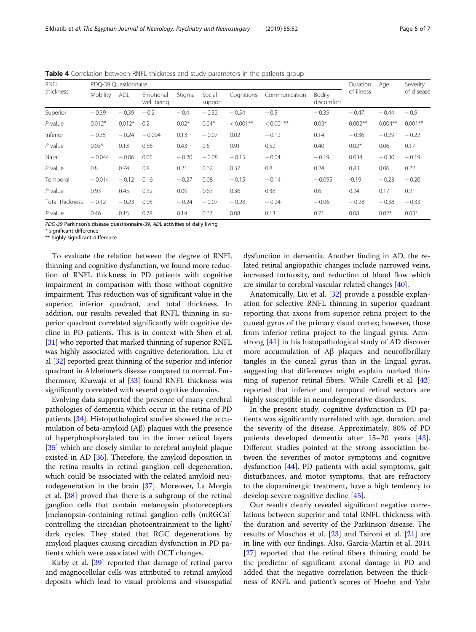PDQ-39 Parkinson's disease questionnaire-39, ADL activities of daily living

\* significant difference

\*\* highly significant difference

To evaluate the relation between the degree of RNFL thinning and cognitive dysfunction, we found more reduction of RNFL thickness in PD patients with cognitive impairment in comparison with those without cognitive impairment. This reduction was of significant value in the superior, inferior quadrant, and total thickness. In addition, our results revealed that RNFL thinning in superior quadrant correlated significantly with cognitive decline in PD patients. This is in context with Shen et al. [[31](#page-6-0)] who reported that marked thinning of superior RNFL was highly associated with cognitive deterioration. Liu et al [\[32](#page-6-0)] reported great thinning of the superior and inferior quadrant in Alzheimer's disease compared to normal. Furthermore, Khawaja et al [[33](#page-6-0)] found RNFL thickness was significantly correlated with several cognitive domains.

Evolving data supported the presence of many cerebral pathologies of dementia which occur in the retina of PD patients [[34\]](#page-6-0). Histopathological studies showed the accumulation of beta-amyloid (Aβ) plaques with the presence of hyperphosphorylated tau in the inner retinal layers [[35\]](#page-6-0) which are closely similar to cerebral amyloid plaque existed in AD [\[36](#page-6-0)]. Therefore, the amyloid deposition in the retina results in retinal ganglion cell degeneration, which could be associated with the related amyloid neurodegeneration in the brain [\[37\]](#page-6-0). Moreover, La Morgia et al. [[38\]](#page-6-0) proved that there is a subgroup of the retinal ganglion cells that contain melanopsin photoreceptors [melanopsin-containing retinal ganglion cells (mRGCs)] controlling the circadian photoentrainment to the light/ dark cycles. They stated that RGC degenerations by amyloid plaques causing circadian dysfunction in PD patients which were associated with OCT changes.

Kirby et al. [[39](#page-6-0)] reported that damage of retinal parvo and magnocellular cells was attributed to retinal amyloid deposits which lead to visual problems and visuospatial

dysfunction in dementia. Another finding in AD, the related retinal angiopathic changes include narrowed veins, increased tortuosity, and reduction of blood flow which are similar to cerebral vascular related changes [\[40\]](#page-6-0).

Anatomically, Liu et al. [[32\]](#page-6-0) provide a possible explanation for selective RNFL thinning in superior quadrant reporting that axons from superior retina project to the cuneal gyrus of the primary visual cortex; however, those from inferior retina project to the lingual gyrus. Armstrong [[41\]](#page-6-0) in his histopathological study of AD discover more accumulation of Aβ plaques and neurofibrillary tangles in the cuneal gyrus than in the lingual gyrus, suggesting that differences might explain marked thinning of superior retinal fibers. While Carelli et al. [[42](#page-6-0)] reported that inferior and temporal retinal sectors are highly susceptible in neurodegenerative disorders.

In the present study, cognitive dysfunction in PD patients was significantly correlated with age, duration, and the severity of the disease. Approximately, 80% of PD patients developed dementia after 15–20 years [\[43](#page-6-0)]. Different studies pointed at the strong association between the severities of motor symptoms and cognitive dysfunction [\[44](#page-6-0)]. PD patients with axial symptoms, gait disturbances, and motor symptoms, that are refractory to the dopaminergic treatment, have a high tendency to develop severe cognitive decline [\[45](#page-6-0)].

Our results clearly revealed significant negative correlations between superior and total RNFL thickness with the duration and severity of the Parkinson disease. The results of Moschos et al. [\[23](#page-6-0)] and Tsironi et al. [\[21](#page-5-0)] are in line with our findings. Also, Garcia-Martin et al. 2014 [[27\]](#page-6-0) reported that the retinal fibers thinning could be the predictor of significant axonal damage in PD and added that the negative correlation between the thickness of RNFL and patient's scores of Hoehn and Yahr

<span id="page-4-0"></span>**Table 4** Correlation between RNFL thickness and study parameters in the patients group

| <b>RNFL</b><br>thickness | PDQ-39 Questionnaire |            |                         |         |                   |              |               | Duration             | Age        | Severity  |            |
|--------------------------|----------------------|------------|-------------------------|---------|-------------------|--------------|---------------|----------------------|------------|-----------|------------|
|                          | Mobility             | <b>ADL</b> | Emotional<br>well being | Stigma  | Social<br>support | Cognitions   | Communication | Bodily<br>discomfort | of illness |           | of disease |
| Superior                 | $-0.39$              | $-0.39$    | $-0.21$                 | $-0.4$  | $-0.32$           | $-0.54$      | $-0.51$       | $-0.35$              | $-0.47$    | $-0.44$   | $-0.5$     |
| $P$ value                | $0.012*$             | $0.012*$   | 0.2                     | $0.02*$ | $0.04*$           | $< 0.001$ ** | $< 0.001$ **  | $0.03*$              | $0.002**$  | $0.004**$ | $0.001***$ |
| Inferior                 | $-0.35$              | $-0.24$    | $-0.094$                | 0.13    | $-0.07$           | 0.02         | $-0.12$       | 0.14                 | $-0.36$    | $-0.29$   | $-0.22$    |
| $P$ value                | $0.03*$              | 0.13       | 0.56                    | 0.43    | 0.6               | 0.91         | 0.52          | 0.40                 | $0.02*$    | 0.06      | 0.17       |
| Nasal                    | $-0.044$             | $-0.06$    | 0.05                    | $-0.20$ | $-0.08$           | $-0.15$      | $-0.04$       | $-0.19$              | 0.034      | $-0.30$   | $-0.19$    |
| $P$ value                | 0.8                  | 0.74       | 0.8                     | 0.21    | 0.62              | 0.37         | 0.8           | 0.24                 | 0.83       | 0.06      | 0.22       |
| Temporal                 | $-0.014$             | $-0.12$    | 0.16                    | $-0.27$ | 0.08              | $-0.15$      | $-0.14$       | $-0.095$             | $-0.19$    | $-0.23$   | $-0.20$    |
| $P$ value                | 0.93                 | 0.45       | 0.32                    | 0.09    | 0.63              | 0.36         | 0.38          | 0.6                  | 0.24       | 0.17      | 0.21       |
| Total thickness          | $-0.12$              | $-0.23$    | 0.05                    | $-0.24$ | $-0.07$           | $-0.28$      | $-0.24$       | $-0.06$              | $-0.28$    | $-0.38$   | $-0.33$    |
| $P$ value                | 0.46                 | 0.15       | 0.78                    | 0.14    | 0.67              | 0.08         | 0.13          | 0.71                 | 0.08       | $0.02*$   | $0.03*$    |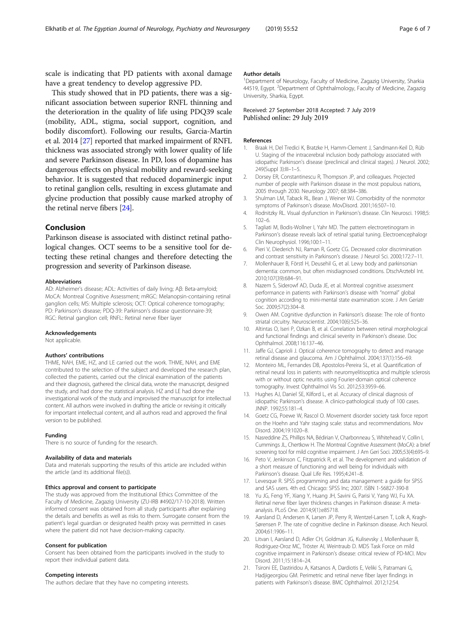<span id="page-5-0"></span>scale is indicating that PD patients with axonal damage have a great tendency to develop aggressive PD.

This study showed that in PD patients, there was a significant association between superior RNFL thinning and the deterioration in the quality of life using PDQ39 scale (mobility, ADL, stigma, social support, cognition, and bodily discomfort). Following our results, Garcia-Martin et al. 2014 [\[27\]](#page-6-0) reported that marked impairment of RNFL thickness was associated strongly with lower quality of life and severe Parkinson disease. In PD, loss of dopamine has dangerous effects on physical mobility and reward-seeking behavior. It is suggested that reduced dopaminergic input to retinal ganglion cells, resulting in excess glutamate and glycine production that possibly cause marked atrophy of the retinal nerve fibers [[24](#page-6-0)].

## Conclusion

Parkinson disease is associated with distinct retinal pathological changes. OCT seems to be a sensitive tool for detecting these retinal changes and therefore detecting the progression and severity of Parkinson disease.

#### Abbreviations

AD: Alzheimer's disease; ADL: Activities of daily living; Aβ: Beta-amyloid; MoCA: Montreal Cognitive Assessment; mRGC: Melanopsin-containing retinal ganglion cells; MS: Multiple sclerosis; OCT: Optical coherence tomography; PD: Parkinson's disease; PDQ-39: Parkinson's disease questionnaire-39; RGC: Retinal ganglion cell; RNFL: Retinal nerve fiber layer

#### Acknowledgements

Not applicable.

#### Authors' contributions

THME, NAH, EME, HZ, and LE carried out the work. THME, NAH, and EME contributed to the selection of the subject and developed the research plan, collected the patients, carried out the clinical examination of the patients and their diagnosis, gathered the clinical data, wrote the manuscript, designed the study, and had done the statistical analysis. HZ and LE had done the investigational work of the study and improvised the manuscript for intellectual content. All authors were involved in drafting the article or revising it critically for important intellectual content, and all authors read and approved the final version to be published.

#### Funding

There is no source of funding for the research.

#### Availability of data and materials

Data and materials supporting the results of this article are included within the article (and its additional file(s)).

#### Ethics approval and consent to participate

The study was approved from the Institutional Ethics Committee of the Faculty of Medicine, Zagazig University (ZU-IRB #4902/17-10-2018). Written informed consent was obtained from all study participants after explaining the details and benefits as well as risks to them. Surrogate consent from the patient's legal guardian or designated health proxy was permitted in cases where the patient did not have decision-making capacity.

#### Consent for publication

Consent has been obtained from the participants involved in the study to report their individual patient data.

#### Competing interests

The authors declare that they have no competing interests.

#### Author details

<sup>1</sup>Department of Neurology, Faculty of Medicine, Zagazig University, Sharkia 44519, Egypt. <sup>2</sup>Department of Ophthalmology, Faculty of Medicine, Zagazig University, Sharkia, Egypt.

#### Received: 27 September 2018 Accepted: 7 July 2019 Published online: 29 July 2019

#### References

- 1. Braak H, Del Tredici K, Bratzke H, Hamm-Clement J, Sandmann-Keil D, Rüb U. Staging of the intracerebral inclusion body pathology associated with idiopathic Parkinson's disease (preclinical and clinical stages). J Neurol. 2002; 249(Suppl 3):III–1–5.
- 2. Dorsey ER, Constantinescu R, Thompson JP, and colleagues. Projected number of people with Parkinson disease in the most populous nations, 2005 through 2030. Neurology 2007; 68:384–386.
- 3. Shulman LM, Taback RL, Bean J, Weiner WJ. Comorbidity of the nonmotor symptoms of Parkinson's disease. MovDisord. 2001;16:507–10.
- 4. Rodnitzky RL. Visual dysfunction in Parkinson's disease. Clin Neurosci. 1998;5: 102–6.
- 5. Tagliati M, Bodis-Wollner I, Yahr MD. The pattern electroretinogram in Parkinson's disease reveals lack of retinal spatial tuning. Electroencephalogr Clin Neurophysiol. 1996;100:1–11.
- 6. Pieri V, Diederich NJ, Raman R, Goetz CG. Decreased color discrimination and contrast sensitivity in Parkinson's disease. J Neurol Sci. 2000;172:7–11.
- 7. Mollenhauer B, Förstl H, Deusehil G, et al. Lewy body and parkinsonian dementia: common, but often misdiagnosed conditions. DtschArztebl Int. 2010;107(39):684–91.
- 8. Nazem S, Siderowf AD, Duda JE, et al. Montreal cognitive assessment performance in patients with Parkinson's disease with "normal" global cognition according to mini-mental state examination score. J Am Geriatr Soc. 2009;57(2):304–8.
- 9. Owen AM. Cognitive dysfunction in Parkinson's disease: The role of fronto striatal circuitry. Neuroscientist. 2004;10(6):525–36.
- 10. Altintas O, Iseri P, Ozkan B, et al. Correlation between retinal morphological and functional findings and clinical severity in Parkinson's disease. Doc Ophthalmol. 2008;116:137–46.
- 11. Jaffe GJ, Caprioli J. Optical coherence tomography to detect and manage retinal disease and glaucoma. Am J Ophthalmol. 2004;137(1):156–69.
- 12. Monteiro ML, Fernandes DB, Apostolos-Pereira SL, et al. Quantification of retinal neural loss in patients with neuromyelitisoptica and multiple sclerosis with or without optic neuritis using Fourier-domain optical coherence tomography. Invest Ophthalmol Vis Sci. 2012;53:3959–66.
- 13. Hughes AJ, Daniel SE, Kilford L, et al. Accuracy of clinical diagnosis of idiopathic Parkinson's disease. A clinico-pathological study of 100 cases. JNNP. 1992;55:181–4.
- 14. Goetz CG, Poewe W, Rascol O. Movement disorder society task force report on the Hoehn and Yahr staging scale: status and recommendations. Mov Disord. 2004;19:1020–8.
- 15. Nasreddine ZS, Phillips NA, Bédirian V, Charbonneau S, Whitehead V, Collin I, Cummings JL, Chertkow H. The Montreal Cognitive Assessment (MoCA): a brief screening tool for mild cognitive impairment. J Am Geri Soci. 2005;53(4):695–9.
- 16. Peto V, Jenkinson C, Fitzpatrick R, et al. The development and validation of a short measure of functioning and well being for individuals with Parkinson's disease. Qual Life Res. 1995;4:241–8.
- 17. Levesque R. SPSS programming and data management: a guide for SPSS and SAS users. 4th ed. Chicago: SPSS Inc; 2007. ISBN 1-56827-390-8
- 18. Yu JG, Feng YF, Xiang Y, Huang JH, Savini G, Parisi V, Yang WJ, Fu XA. Retinal nerve fiber layer thickness changes in Parkinson disease: A metaanalysis. PLoS One. 2014;9(1):e85718.
- 19. Aarsland D, Andersen K, Larsen JP, Perry R, Wentzel-Larsen T, Lolk A, Kragh-Sørensen P. The rate of cognitive decline in Parkinson disease. Arch Neurol. 2004;61:1906–11.
- 20. Litvan I, Aarsland D, Adler CH, Goldman JG, Kulisevsky J, Mollenhauer B, Rodriguez-Oroz MC, Tröster AI, Weintraub D. MDS Task Force on mild cognitive impairment in Parkinson's disease: critical review of PD-MCI. Mov Disord. 2011;15:1814–24.
- 21. Tsironi EE, Dastiridou A, Katsanos A, Dardiotis E, Veliki S, Patramani G, Hadjigeorgiou GM. Perimetric and retinal nerve fiber layer findings in patients with Parkinson's disease. BMC Ophthalmol. 2012;12:54.